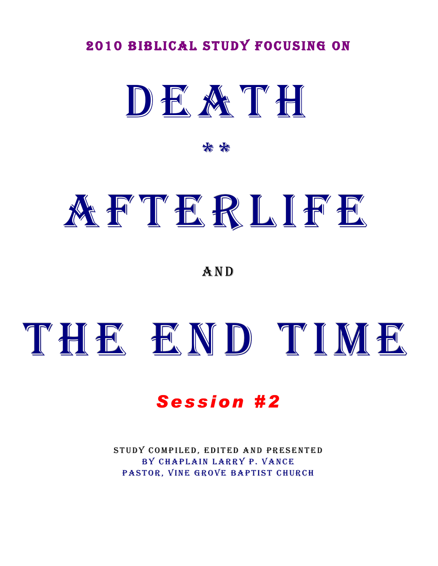## 2010 BIBLICAL STUDY FOCUSING ON



#### \* \*

# A F T E RLIF E

**AND** 

# THE END TIME

## *Session #2*

STUDY COMPILED, EDITED AND PRESENTED BY CHAPLAIN LARRY P. VANCE PASTOR. VINE GROVE BAPTIST CHURCH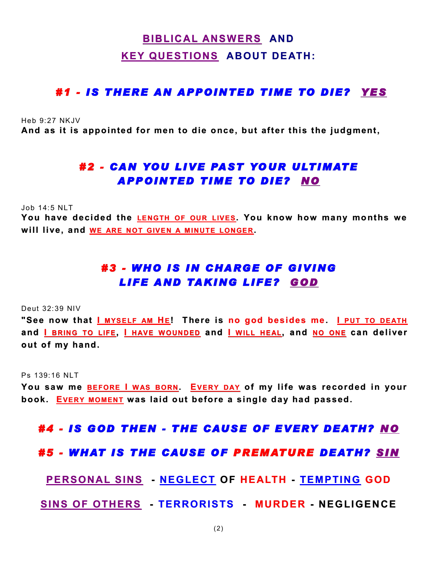## **BIBLIC AL ANSWERS AND KEY QUESTIONS ABOUT DEATH:**

#### *#1 - IS THERE AN APPOINTE D TIME TO DIE? YES*

Heb 9:27 NKJV

**And as it is appointed for men to die once, but after this the judgment,** 

### *#2 - CAN YOU LIVE PAST YO UR ULTIMATE APPOINTED TIME TO DIE? NO*

Job 14:5 NLT

You have decided the **LENGTH OF OUR LIVES**. You know how many months we **will live, and WE ARE NOT GIVEN A M INUTE LONGER.**

### *#3 - WHO IS IN CHARGE OF GIVING*  **LIFE AND TAKING LIFE? GOD**

Deut 32:39 NIV

**"See now that I MYSELF AM HE! T here is no god besides me . I PUT TO DEATH and I BRING TO LIFE, I HAVE W OUNDED and I W ILL HEAL, and NO ONE can deliver out of my hand.** 

Ps 139:16 NLT

**You saw me BEFORE I W AS BORN. EVERY DAY of my life was recorded in your book. EVERY MOMENT was laid out before a single day had passed.**

#### *#4 - IS GOD THEN - THE CAUSE OF EVERY DEATH? NO*

*#5 - WHAT IS THE CAUSE OF PREMATURE DEATH? SIN* 

**PERSONAL SINS - NEGLECT OF HE ALTH - TEMPTING GOD** 

SINS OF OTHERS - **TERRORISTS - MURDER - NEGLIGENCE**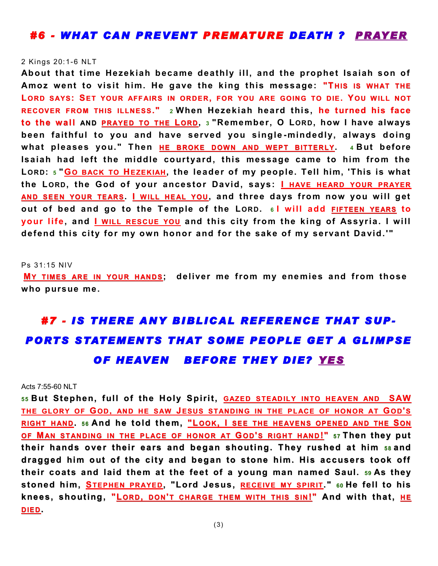#### *#6 - WHAT CAN PREVENT PREMATURE DEATH ? PRAYER*

#### 2 Kings 20:1-6 NLT

**About that time Hezekiah became deathly ill, and the prophet Isaiah son of Amoz went to visit him. He gave the king this message: "T HIS IS WHAT THE L ORD SAYS: SET YOUR AFFAIRS IN ORDER, FOR YOU ARE GOING TO DIE. YOU W ILL NOT RECOVER FROM THIS ILLNESS." 2 When Hezekiah heard this, he turned his face to the wall AND PRAYED TO THE LORD , 3 "Remember, O LORD, how I have always been faithful to you and have served you single -mindedly, always doing what pleases you." T hen HE BROKE DOWN AND WEPT BITTERLY. 4 But before Isaiah had left the middle courtyard, this message came to him from the L ORD: 5 "GO BACK TO HEZEKIAH , the leader of my people. Tell him, 'This is what the L ORD, the God of your ancestor David, says: I HAVE HEARD YOUR PRAYER AND SEEN YOUR TEARS. I W ILL HE AL YOU , and three days from now you will get out of bed and go to the T emple of the LORD. 6 I will add FIFTEEN YEARS to your life, and I W ILL RESCUE YOU and this city from the king of Assyria. I will**  defend this city for my own honor and for the sake of my servant David.'"

#### Ps 31:15 NIV

**MY TIMES ARE IN YOUR HANDS; deliver me from my ene mies and from those who pursue me.** 

## *#7 - IS THERE ANY BIBLIC AL REFERENCE THAT SUP-PORTS STATEMENTS THAT SOME PEOPLE GET A GLIMPSE OF HEAVEN BEFORE THEY DIE? YES*

Acts 7:55-60 NLT

**<sup>55</sup>But Stephen, full of the Holy Spirit, GAZED STEAD ILY INTO HE AVEN AND SAW**  THE GLORY OF GOD, AND HE SAW JESUS STANDING IN THE PLACE OF HONOR AT GOD'S **RIGHT H AND. 56 And he told them, "L OOK, I SEE THE HEAVENS OPENED AND THE SON OF MAN STANDING IN THE PLACE OF HONOR AT GOD'S RIGHT HAND !" 57 Then they put**  their hands over their ears and began shouting. They rushed at him  $58$  and **dragged him out of the city and began to stone him. His accusers took off their coats and laid them at the feet of a young man named Saul. 59 As they stoned him, STEPHEN PRAYED, "Lord Jesus, RECEIVE MY SPIRIT." 60 He fell to his knees, shouting, "L ORD, DON'T CHARGE THEM W ITH THIS SIN !" And with that, HE DIED.**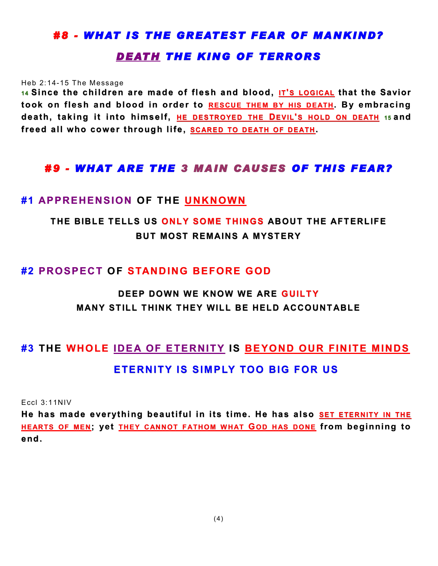#### *#8 - WHAT IS THE GREATEST FEAR OF MANKIND?*

#### *DEATH THE KING OF TERRORS*

Heb 2:14-15 The Message

**<sup>14</sup>Since the children are made of flesh and blood, IT'S LOGICAL that the Savior took on flesh and blood in order to RESCUE THEM BY HIS DEATH. By e mbracing death, taking it into himself, HE DESTROYED THE DEVIL'S HOLD ON DEATH <sup>15</sup>and freed all who cower through life, SCARED TO DEATH OF DEATH.** 

#### *#9 - WHAT ARE THE 3 MAIN CAUSES OF THIS FEAR?*

#### **#1 APPREHENSION OF THE U NKNOWN**

#### **T HE BIBLE T ELLS US ONLY SOME T HINGS ABOUT T HE AFT ERLIFE BUT MOST REMAINS A MYSTERY**

#### **#2 PROSPEC T OF STAND ING BEFORE GOD**

#### **DEEP DOWN WE KNOW WE ARE GUILTY MANY ST ILL T HINK T HEY WILL BE HELD ACCOUNT ABLE**

#### **#3 THE WHOLE IDEA OF ETERNITY IS BEYOND OUR FINITE MINDS**

#### **ETERNITY IS SIMPLY TOO BIG FOR US**

Eccl 3:11NIV

**He has made everythi ng beautiful in its time. He has also SET ETERNITY IN THE HEARTS OF MEN; yet THEY CANNOT FATHOM W HAT GOD H AS DONE from beginning to end.**